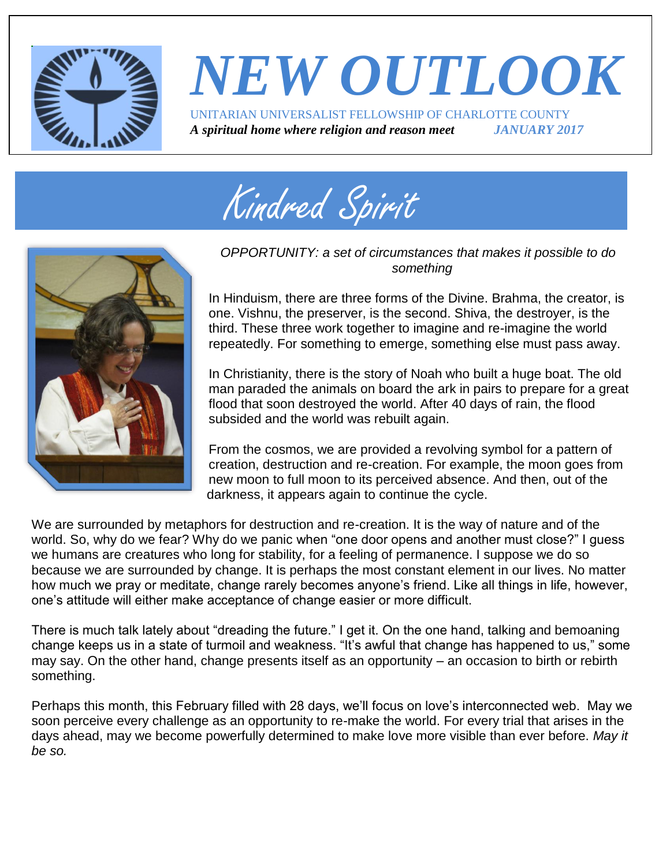

## *NEW OUTLOOK* UNITARIAN UNIVERSALIST FELLOWSHIP OF CHARLOTTE COUNTY *A spiritual home where religion and reason meet JANUARY 2017*





#### *OPPORTUNITY: a set of circumstances that makes it possible to do something*

In Hinduism, there are three forms of the Divine. Brahma, the creator, is one. Vishnu, the preserver, is the second. Shiva, the destroyer, is the third. These three work together to imagine and re-imagine the world repeatedly. For something to emerge, something else must pass away.

In Christianity, there is the story of Noah who built a huge boat. The old man paraded the animals on board the ark in pairs to prepare for a great flood that soon destroyed the world. After 40 days of rain, the flood subsided and the world was rebuilt again.

From the cosmos, we are provided a revolving symbol for a pattern of creation, destruction and re-creation. For example, the moon goes from new moon to full moon to its perceived absence. And then, out of the darkness, it appears again to continue the cycle.

We are surrounded by metaphors for destruction and re-creation. It is the way of nature and of the world. So, why do we fear? Why do we panic when "one door opens and another must close?" I guess we humans are creatures who long for stability, for a feeling of permanence. I suppose we do so because we are surrounded by change. It is perhaps the most constant element in our lives. No matter how much we pray or meditate, change rarely becomes anyone's friend. Like all things in life, however, one's attitude will either make acceptance of change easier or more difficult.

There is much talk lately about "dreading the future." I get it. On the one hand, talking and bemoaning change keeps us in a state of turmoil and weakness. "It's awful that change has happened to us," some may say. On the other hand, change presents itself as an opportunity – an occasion to birth or rebirth something.

Perhaps this month, this February filled with 28 days, we'll focus on love's interconnected web. May we soon perceive every challenge as an opportunity to re-make the world. For every trial that arises in the days ahead, may we become powerfully determined to make love more visible than ever before. *May it be so.*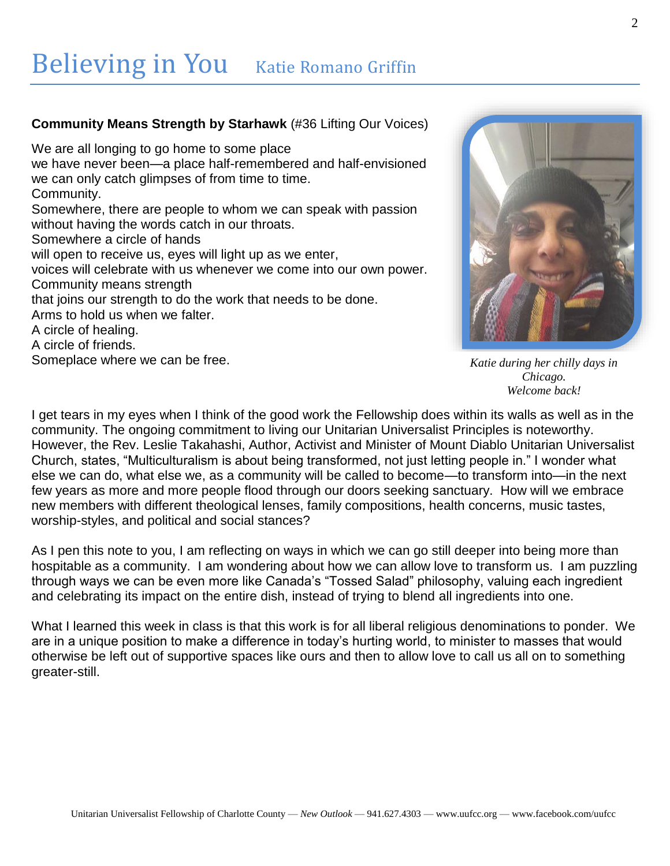## Believing in You Katie Romano Griffin

#### **Community Means Strength by [Starhawk](http://www.uua.org/directory/people/starhawk)** (#36 Lifting Our Voices)

We are all longing to go home to some place we have never been—a place half-remembered and half-envisioned we can only catch glimpses of from time to time. Community. Somewhere, there are people to whom we can speak with passion without having the words catch in our throats. Somewhere a circle of hands will open to receive us, eyes will light up as we enter, voices will celebrate with us whenever we come into our own power. Community means strength that ioins our strength to do the work that needs to be done. Arms to hold us when we falter. A circle of healing. A circle of friends. Someplace where we can be free.

*Katie during her chilly days in Chicago. Welcome back!*

I get tears in my eyes when I think of the good work the Fellowship does within its walls as well as in the community. The ongoing commitment to living our Unitarian Universalist Principles is noteworthy. However, the Rev. Leslie Takahashi, Author, Activist and Minister of Mount Diablo Unitarian Universalist Church, states, "Multiculturalism is about being transformed, not just letting people in." I wonder what else we can do, what else we, as a community will be called to become—to transform into—in the next few years as more and more people flood through our doors seeking sanctuary. How will we embrace new members with different theological lenses, family compositions, health concerns, music tastes, worship-styles, and political and social stances?

As I pen this note to you, I am reflecting on ways in which we can go still deeper into being more than hospitable as a community. I am wondering about how we can allow love to transform us. I am puzzling through ways we can be even more like Canada's "Tossed Salad" philosophy, valuing each ingredient and celebrating its impact on the entire dish, instead of trying to blend all ingredients into one.

What I learned this week in class is that this work is for all liberal religious denominations to ponder. We are in a unique position to make a difference in today's hurting world, to minister to masses that would otherwise be left out of supportive spaces like ours and then to allow love to call us all on to something greater-still.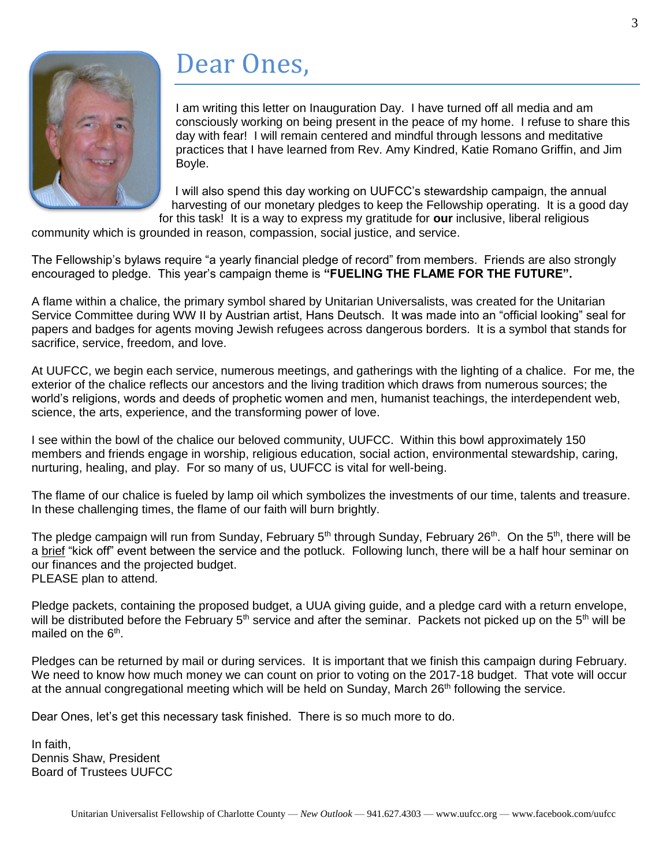

## Dear Ones,

I am writing this letter on Inauguration Day. I have turned off all media and am consciously working on being present in the peace of my home. I refuse to share this day with fear! I will remain centered and mindful through lessons and meditative practices that I have learned from Rev. Amy Kindred, Katie Romano Griffin, and Jim Boyle.

I will also spend this day working on UUFCC's stewardship campaign, the annual harvesting of our monetary pledges to keep the Fellowship operating. It is a good day for this task! It is a way to express my gratitude for **our** inclusive, liberal religious

community which is grounded in reason, compassion, social justice, and service.

The Fellowship's bylaws require "a yearly financial pledge of record" from members. Friends are also strongly encouraged to pledge. This year's campaign theme is **"FUELING THE FLAME FOR THE FUTURE".** 

A flame within a chalice, the primary symbol shared by Unitarian Universalists, was created for the Unitarian Service Committee during WW II by Austrian artist, Hans Deutsch. It was made into an "official looking" seal for papers and badges for agents moving Jewish refugees across dangerous borders. It is a symbol that stands for sacrifice, service, freedom, and love.

At UUFCC, we begin each service, numerous meetings, and gatherings with the lighting of a chalice. For me, the exterior of the chalice reflects our ancestors and the living tradition which draws from numerous sources; the world's religions, words and deeds of prophetic women and men, humanist teachings, the interdependent web, science, the arts, experience, and the transforming power of love.

I see within the bowl of the chalice our beloved community, UUFCC. Within this bowl approximately 150 members and friends engage in worship, religious education, social action, environmental stewardship, caring, nurturing, healing, and play. For so many of us, UUFCC is vital for well-being.

The flame of our chalice is fueled by lamp oil which symbolizes the investments of our time, talents and treasure. In these challenging times, the flame of our faith will burn brightly.

The pledge campaign will run from Sunday, February 5<sup>th</sup> through Sunday, February 26<sup>th</sup>. On the 5<sup>th</sup>, there will be a brief "kick off" event between the service and the potluck. Following lunch, there will be a half hour seminar on our finances and the projected budget. PLEASE plan to attend.

Pledge packets, containing the proposed budget, a UUA giving guide, and a pledge card with a return envelope, will be distributed before the February 5<sup>th</sup> service and after the seminar. Packets not picked up on the 5<sup>th</sup> will be mailed on the 6<sup>th</sup>.

Pledges can be returned by mail or during services. It is important that we finish this campaign during February. We need to know how much money we can count on prior to voting on the 2017-18 budget. That vote will occur at the annual congregational meeting which will be held on Sunday, March  $26<sup>th</sup>$  following the service.

Dear Ones, let's get this necessary task finished. There is so much more to do.

In faith, Dennis Shaw, President Board of Trustees UUFCC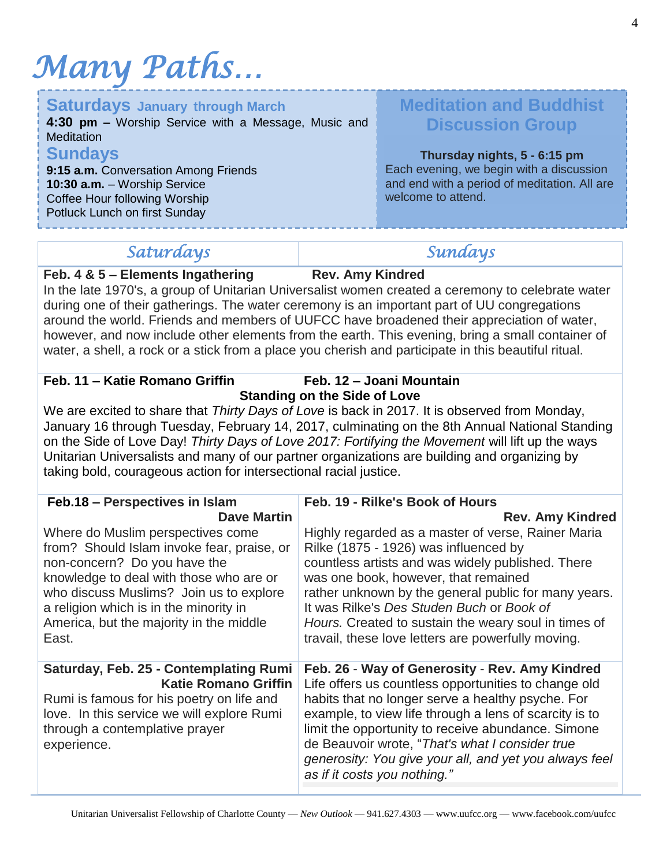# *Many Paths…*

| <b>Saturdays January through March</b><br>4:30 pm - Worship Service with a Message, Music and<br><b>Meditation</b>                                       | <b>Meditation and Buddhist</b><br><b>Discussion Group</b>                                                                                      |
|----------------------------------------------------------------------------------------------------------------------------------------------------------|------------------------------------------------------------------------------------------------------------------------------------------------|
| <b>Sundays</b><br>9:15 a.m. Conversation Among Friends<br>10:30 a.m. - Worship Service<br>Coffee Hour following Worship<br>Potluck Lunch on first Sunday | Thursday nights, 5 - 6:15 pm<br>Each evening, we begin with a discussion<br>and end with a period of meditation. All are<br>welcome to attend. |

### *Saturdays Sundays*

#### **Feb. 4 & 5 – Elements Ingathering Rev. Amy Kindred**

In the late 1970's, a group of Unitarian Universalist women created a ceremony to celebrate water during one of their gatherings. The water ceremony is an important part of UU congregations around the world. Friends and members of UUFCC have broadened their appreciation of water, however, and now include other elements from the earth. This evening, bring a small container of water, a shell, a rock or a stick from a place you cherish and participate in this beautiful ritual.

### **Feb. 11 – Katie Romano Griffin Feb. 12 – Joani Mountain**

### **Standing on the Side of Love**

We are excited to share that *Thirty Days of Love* is back in 2017. It is observed from Monday, January 16 through Tuesday, February 14, 2017, culminating on the 8th Annual National Standing on the Side of Love Day! *Thirty Days of Love 2017: Fortifying the Movement* will lift up the ways Unitarian Universalists and many of our partner organizations are building and organizing by taking bold, courageous action for intersectional racial justice.

| Feb.18 - Perspectives in Islam                                                                                                                                                                                                                                                                      | Feb. 19 - Rilke's Book of Hours                                                                                                                                                                                                                                                                                                                                                                                          |
|-----------------------------------------------------------------------------------------------------------------------------------------------------------------------------------------------------------------------------------------------------------------------------------------------------|--------------------------------------------------------------------------------------------------------------------------------------------------------------------------------------------------------------------------------------------------------------------------------------------------------------------------------------------------------------------------------------------------------------------------|
| <b>Dave Martin</b>                                                                                                                                                                                                                                                                                  | <b>Rev. Amy Kindred</b>                                                                                                                                                                                                                                                                                                                                                                                                  |
| Where do Muslim perspectives come<br>from? Should Islam invoke fear, praise, or<br>non-concern? Do you have the<br>knowledge to deal with those who are or<br>who discuss Muslims? Join us to explore<br>a religion which is in the minority in<br>America, but the majority in the middle<br>East. | Highly regarded as a master of verse, Rainer Maria<br>Rilke (1875 - 1926) was influenced by<br>countless artists and was widely published. There<br>was one book, however, that remained<br>rather unknown by the general public for many years.<br>It was Rilke's Des Studen Buch or Book of<br>Hours. Created to sustain the weary soul in times of<br>travail, these love letters are powerfully moving.              |
| Saturday, Feb. 25 - Contemplating Rumi<br><b>Katie Romano Griffin</b><br>Rumi is famous for his poetry on life and<br>love. In this service we will explore Rumi<br>through a contemplative prayer<br>experience.                                                                                   | Feb. 26 - Way of Generosity - Rev. Amy Kindred<br>Life offers us countless opportunities to change old<br>habits that no longer serve a healthy psyche. For<br>example, to view life through a lens of scarcity is to<br>limit the opportunity to receive abundance. Simone<br>de Beauvoir wrote, "That's what I consider true<br>generosity: You give your all, and yet you always feel<br>as if it costs you nothing." |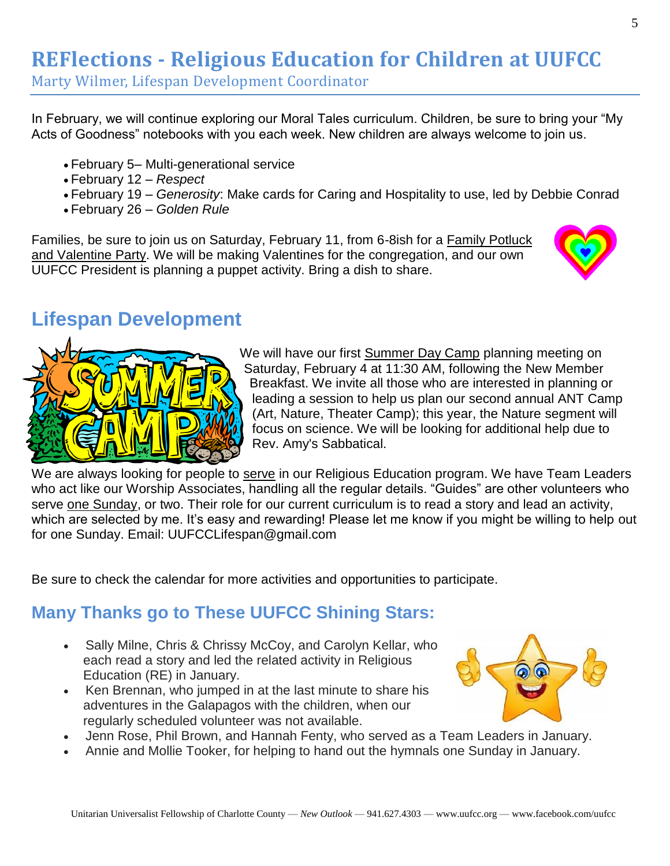### **REFlections - Religious Education for Children at UUFCC**

Marty Wilmer, Lifespan Development Coordinator

In February, we will continue exploring our Moral Tales curriculum. Children, be sure to bring your "My Acts of Goodness" notebooks with you each week. New children are always welcome to join us.

- February 5– Multi-generational service
- February 12 *Respect*
- February 19 *Generosity*: Make cards for Caring and Hospitality to use, led by Debbie Conrad
- February 26 *Golden Rule*

Families, be sure to join us on Saturday, February 11, from 6-8ish for a Family Potluck and Valentine Party. We will be making Valentines for the congregation, and our own UUFCC President is planning a puppet activity. Bring a dish to share.



### **Lifespan Development**



We will have our first Summer Day Camp planning meeting on Saturday, February 4 at 11:30 AM, following the New Member Breakfast. We invite all those who are interested in planning or leading a session to help us plan our second annual ANT Camp (Art, Nature, Theater Camp); this year, the Nature segment will focus on science. We will be looking for additional help due to Rev. Amy's Sabbatical.

We are always looking for people to serve in our Religious Education program. We have Team Leaders who act like our Worship Associates, handling all the regular details. "Guides" are other volunteers who serve one Sunday, or two. Their role for our current curriculum is to read a story and lead an activity, which are selected by me. It's easy and rewarding! Please let me know if you might be willing to help out for one Sunday. Email: UUFCCLifespan@gmail.com

Be sure to check the calendar for more activities and opportunities to participate.

### **Many Thanks go to These UUFCC Shining Stars:**

- Sally Milne, Chris & Chrissy McCoy, and Carolyn Kellar, who each read a story and led the related activity in Religious Education (RE) in January.
- Ken Brennan, who jumped in at the last minute to share his adventures in the Galapagos with the children, when our regularly scheduled volunteer was not available.



- Jenn Rose, Phil Brown, and Hannah Fenty, who served as a Team Leaders in January.
- Annie and Mollie Tooker, for helping to hand out the hymnals one Sunday in January.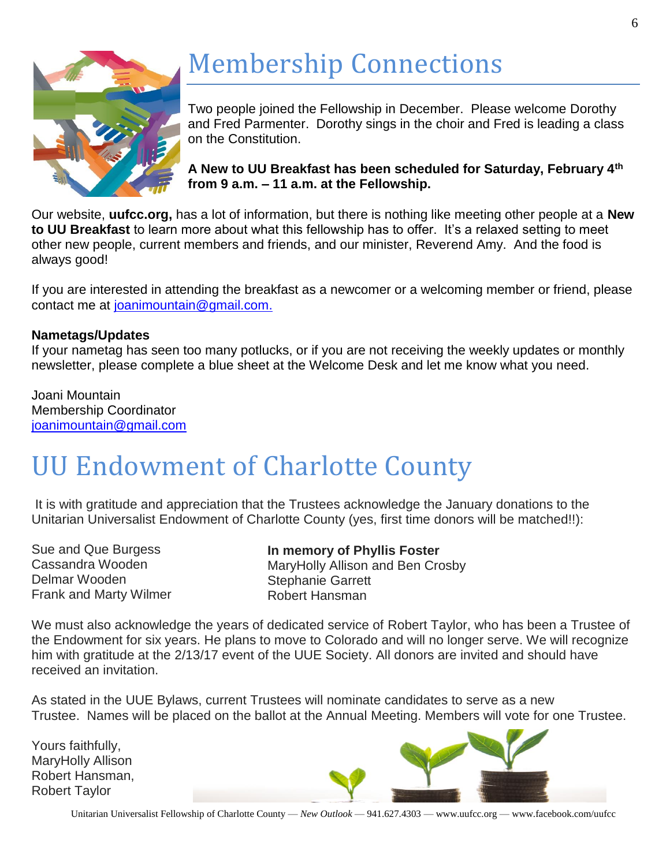

# Membership Connections

Two people joined the Fellowship in December. Please welcome Dorothy and Fred Parmenter. Dorothy sings in the choir and Fred is leading a class on the Constitution.

**A New to UU Breakfast has been scheduled for Saturday, February 4th from 9 a.m. – 11 a.m. at the Fellowship.** 

Our website, **uufcc.org,** has a lot of information, but there is nothing like meeting other people at a **New to UU Breakfast** to learn more about what this fellowship has to offer. It's a relaxed setting to meet other new people, current members and friends, and our minister, Reverend Amy. And the food is always good!

If you are interested in attending the breakfast as a newcomer or a welcoming member or friend, please contact me at [joanimountain@gmail.com.](mailto:joanimountain@gmail.com)

#### **Nametags/Updates**

If your nametag has seen too many potlucks, or if you are not receiving the weekly updates or monthly newsletter, please complete a blue sheet at the Welcome Desk and let me know what you need.

Joani Mountain Membership Coordinator [joanimountain@gmail.com](mailto:joanimountain@gmail.com)

## UU Endowment of Charlotte County

It is with gratitude and appreciation that the Trustees acknowledge the January donations to the Unitarian Universalist Endowment of Charlotte County (yes, first time donors will be matched!!):

Sue and Que Burgess Cassandra Wooden Delmar Wooden Frank and Marty Wilmer

**In memory of Phyllis Foster** MaryHolly Allison and Ben Crosby Stephanie Garrett Robert Hansman

We must also acknowledge the years of dedicated service of Robert Taylor, who has been a Trustee of the Endowment for six years. He plans to move to Colorado and will no longer serve. We will recognize him with gratitude at the 2/13/17 event of the UUE Society. All donors are invited and should have received an invitation.

As stated in the UUE Bylaws, current Trustees will nominate candidates to serve as a new Trustee. Names will be placed on the ballot at the Annual Meeting. Members will vote for one Trustee.

Yours faithfully, MaryHolly Allison Robert Hansman, Robert Taylor

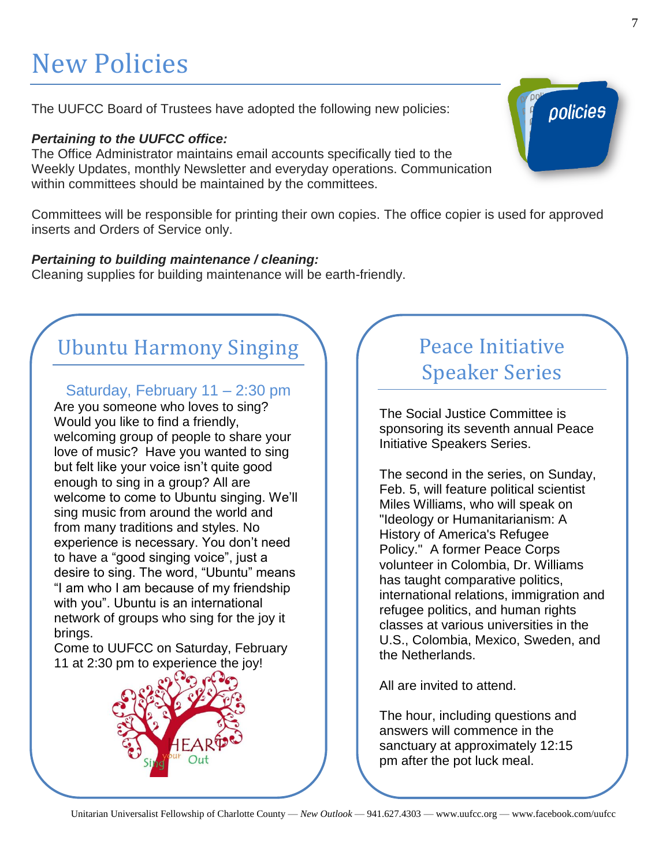## New Policies

The UUFCC Board of Trustees have adopted the following new policies:

### *Pertaining to the UUFCC office:*

The Office Administrator maintains email accounts specifically tied to the Weekly Updates, monthly Newsletter and everyday operations. Communication within committees should be maintained by the committees.

Committees will be responsible for printing their own copies. The office copier is used for approved inserts and Orders of Service only.

#### *Pertaining to building maintenance / cleaning:*

Cleaning supplies for building maintenance will be earth-friendly.

### Ubuntu Harmony Singing

Saturday, February 11 – 2:30 pm

Are you someone who loves to sing? Would you like to find a friendly, welcoming group of people to share your love of music? Have you wanted to sing but felt like your voice isn't quite good enough to sing in a group? All are welcome to come to Ubuntu singing. We'll sing music from around the world and from many traditions and styles. No experience is necessary. You don't need to have a "good singing voice", just a desire to sing. The word, "Ubuntu" means "I am who I am because of my friendship with you". Ubuntu is an international network of groups who sing for the joy it brings.

Come to UUFCC on Saturday, February 11 at 2:30 pm to experience the joy!



### Peace Initiative Speaker Series

The Social Justice Committee is sponsoring its seventh annual Peace Initiative Speakers Series.

The second in the series, on Sunday, Feb. 5, will feature political scientist Miles Williams, who will speak on "Ideology or Humanitarianism: A History of America's Refugee Policy." A former Peace Corps volunteer in Colombia, Dr. Williams has taught comparative politics, international relations, immigration and refugee politics, and human rights classes at various universities in the U.S., Colombia, Mexico, Sweden, and the Netherlands.

All are invited to attend.

The hour, including questions and answers will commence in the sanctuary at approximately 12:15 pm after the pot luck meal.

Unitarian Universalist Fellowship of Charlotte County — *New Outlook* — 941.627.4303 — www.uufcc.org — www.facebook.com/uufcc

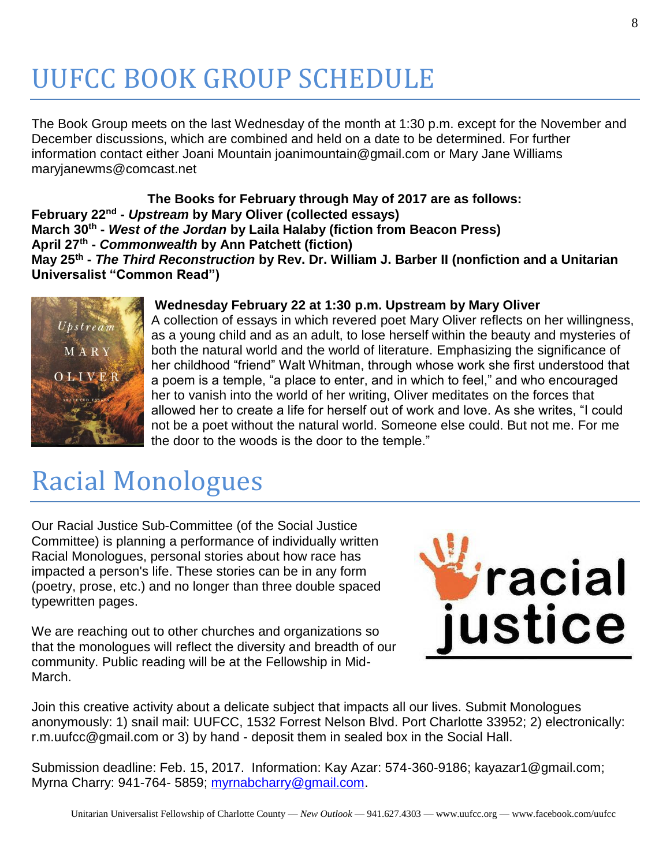## UUFCC BOOK GROUP SCHEDULE

The Book Group meets on the last Wednesday of the month at 1:30 p.m. except for the November and December discussions, which are combined and held on a date to be determined. For further information contact either Joani Mountain joanimountain@gmail.com or Mary Jane Williams maryjanewms@comcast.net

**The Books for February through May of 2017 are as follows: February 22nd -** *Upstream* **by Mary Oliver (collected essays) March 30th -** *West of the Jordan* **by Laila Halaby (fiction from Beacon Press) April 27th -** *Commonwealth* **by Ann Patchett (fiction) May 25th -** *The Third Reconstruction* **by Rev. Dr. William J. Barber II (nonfiction and a Unitarian Universalist "Common Read")**



#### **Wednesday February 22 at 1:30 p.m. Upstream by Mary Oliver**

A collection of essays in which revered poet Mary Oliver reflects on her willingness, as a young child and as an adult, to lose herself within the beauty and mysteries of both the natural world and the world of literature. Emphasizing the significance of her childhood "friend" Walt Whitman, through whose work she first understood that a poem is a temple, "a place to enter, and in which to feel," and who encouraged her to vanish into the world of her writing, Oliver meditates on the forces that allowed her to create a life for herself out of work and love. As she writes, "I could not be a poet without the natural world. Someone else could. But not me. For me the door to the woods is the door to the temple."

## Racial Monologues

Our Racial Justice Sub-Committee (of the Social Justice Committee) is planning a performance of individually written Racial Monologues, personal stories about how race has impacted a person's life. These stories can be in any form (poetry, prose, etc.) and no longer than three double spaced typewritten pages.

We are reaching out to other churches and organizations so that the monologues will reflect the diversity and breadth of our community. Public reading will be at the Fellowship in Mid-March.



Join this creative activity about a delicate subject that impacts all our lives. Submit Monologues anonymously: 1) snail mail: UUFCC, 1532 Forrest Nelson Blvd. Port Charlotte 33952; 2) electronically: r.m.uufcc@gmail.com or 3) by hand - deposit them in sealed box in the Social Hall.

Submission deadline: Feb. 15, 2017. Information: Kay Azar: 574-360-9186; kayazar1@gmail.com; Myrna Charry: 941-764- 5859; [myrnabcharry@gmail.com.](mailto:myrnabcharry@gmail.com)